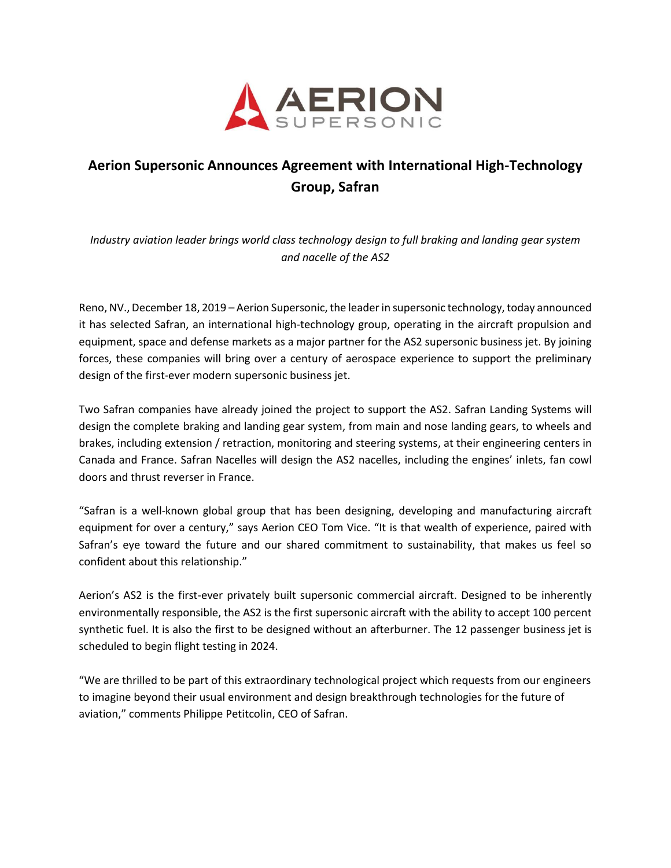

## **Aerion Supersonic Announces Agreement with International High-Technology Group, Safran**

*Industry aviation leader brings world class technology design to full braking and landing gear system and nacelle of the AS2*

Reno, NV., December 18, 2019 – [Aerion Supersonic,](http://www.aerionsupersonic.com/) the leader in supersonic technology, today announced it has selected [Safran,](https://www.safran-group.com/) an international high-technology group, operating in the aircraft propulsion and equipment, space and defense markets as a major partner for the AS2 supersonic business jet. By joining forces, these companies will bring over a century of aerospace experience to support the preliminary design of the first-ever modern supersonic business jet.

Two Safran companies have already joined the project to support the AS2. Safran Landing Systems will design the complete braking and landing gear system, from main and nose landing gears, to wheels and brakes, including extension / retraction, monitoring and steering systems, at their engineering centers in Canada and France. Safran Nacelles will design the AS2 nacelles, including the engines' inlets, fan cowl doors and thrust reverser in France.

"Safran is a well-known global group that has been designing, developing and manufacturing aircraft equipment for over a century," says Aerion CEO Tom Vice. "It is that wealth of experience, paired with Safran's eye toward the future and our shared commitment to sustainability, that makes us feel so confident about this relationship."

Aerion's AS2 is the first-ever privately built supersonic commercial aircraft. Designed to be inherently environmentally responsible, the AS2 is the first supersonic aircraft with the ability to accept 100 percent synthetic fuel. It is also the first to be designed without an afterburner. The 12 passenger business jet is scheduled to begin flight testing in 2024.

"We are thrilled to be part of this extraordinary technological project which requests from our engineers to imagine beyond their usual environment and design breakthrough technologies for the future of aviation," comments Philippe Petitcolin, CEO of Safran.